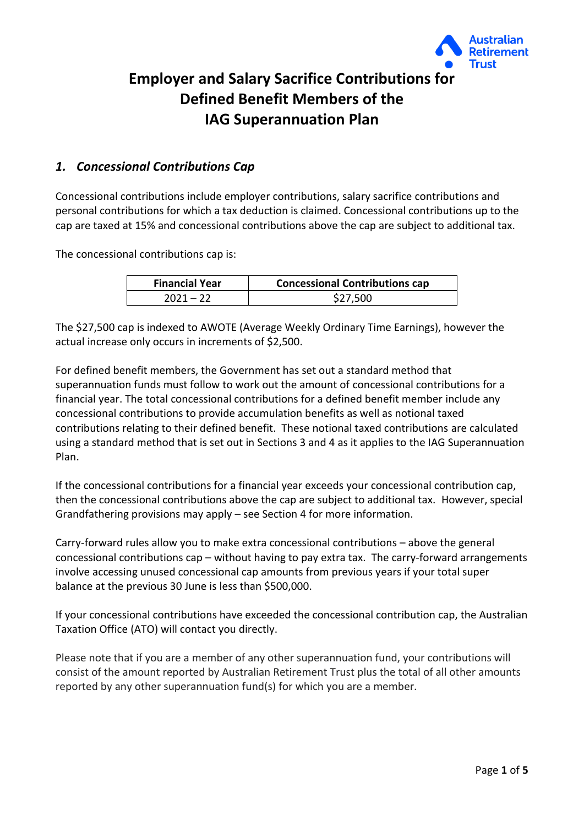

# **Employer and Salary Sacrifice Contributions for Defined Benefit Members of the IAG Superannuation Plan**

## *1. Concessional Contributions Cap*

Concessional contributions include employer contributions, salary sacrifice contributions and personal contributions for which a tax deduction is claimed. Concessional contributions up to the cap are taxed at 15% and concessional contributions above the cap are subject to additional tax.

The concessional contributions cap is:

| <b>Financial Year</b> | <b>Concessional Contributions cap</b> |
|-----------------------|---------------------------------------|
| $2021 - 22$           | \$27,500                              |

The \$27,500 cap is indexed to AWOTE (Average Weekly Ordinary Time Earnings), however the actual increase only occurs in increments of \$2,500.

For defined benefit members, the Government has set out a standard method that superannuation funds must follow to work out the amount of concessional contributions for a financial year. The total concessional contributions for a defined benefit member include any concessional contributions to provide accumulation benefits as well as notional taxed contributions relating to their defined benefit. These notional taxed contributions are calculated using a standard method that is set out in Sections 3 and 4 as it applies to the IAG Superannuation Plan.

If the concessional contributions for a financial year exceeds your concessional contribution cap, then the concessional contributions above the cap are subject to additional tax. However, special Grandfathering provisions may apply – see Section 4 for more information.

Carry-forward rules allow you to make extra concessional contributions – above the general concessional contributions cap – without having to pay extra tax. The carry-forward arrangements involve accessing unused concessional cap amounts from previous years if your total super balance at the previous 30 June is less than \$500,000.

If your concessional contributions have exceeded the concessional contribution cap, the Australian Taxation Office (ATO) will contact you directly.

Please note that if you are a member of any other superannuation fund, your contributions will consist of the amount reported by Australian Retirement Trust plus the total of all other amounts reported by any other superannuation fund(s) for which you are a member.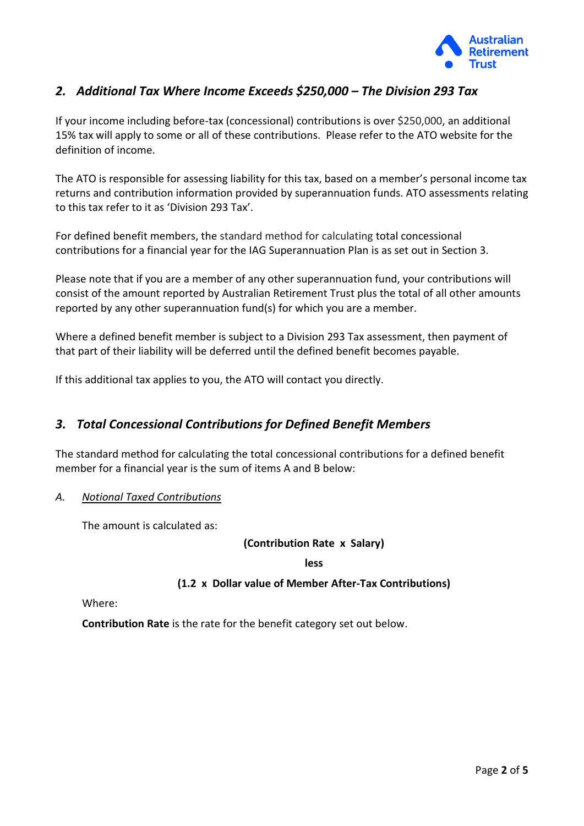

## *2. Additional Tax Where Income Exceeds \$250,000 – The Division 293 Tax*

If your income including before-tax (concessional) contributions is over \$250,000, an additional 15% tax will apply to some or all of these contributions. Please refer to the ATO website for the definition of income.

The ATO is responsible for assessing liability for this tax, based on a member's personal income tax returns and contribution information provided by superannuation funds. ATO assessments relating to this tax refer to it as 'Division 293 Tax'.

For defined benefit members, the standard method for calculating total concessional contributions for a financial year for the IAG Superannuation Plan is as set out in Section 3.

Please note that if you are a member of any other superannuation fund, your contributions will consist of the amount reported by Australian Retirement Trust plus the total of all other amounts reported by any other superannuation fund(s) for which you are a member.

Where a defined benefit member is subject to a Division 293 Tax assessment, then payment of that part of their liability will be deferred until the defined benefit becomes payable.

If this additional tax applies to you, the ATO will contact you directly.

## *3. Total Concessional Contributions for Defined Benefit Members*

The standard method for calculating the total concessional contributions for a defined benefit member for a financial year is the sum of items A and B below:

#### *A. Notional Taxed Contributions*

The amount is calculated as:

**(Contribution Rate x Salary)** 

**less**

#### **(1.2 x Dollar value of Member After-Tax Contributions)**

Where:

**Contribution Rate** is the rate for the benefit category set out below.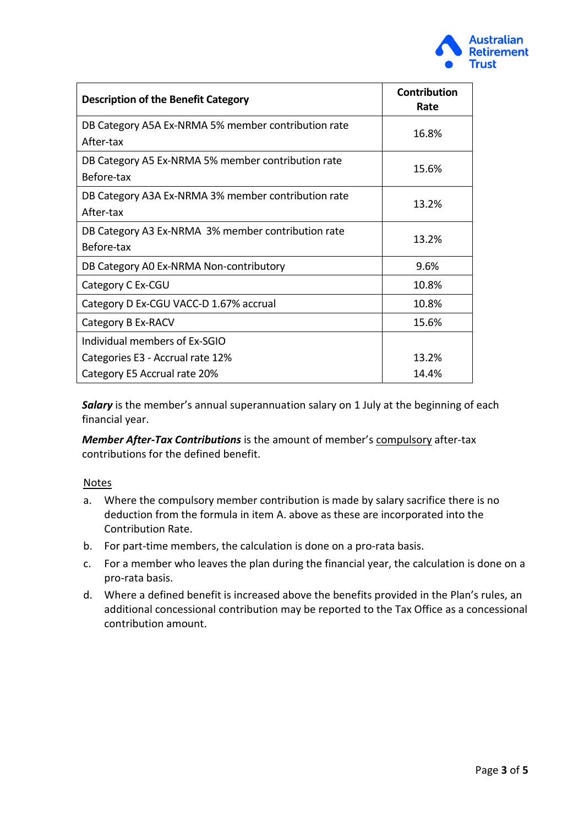

| <b>Description of the Benefit Category</b>                       | <b>Contribution</b><br>Rate |
|------------------------------------------------------------------|-----------------------------|
| DB Category A5A Ex-NRMA 5% member contribution rate<br>After-tax | 16.8%                       |
| DB Category A5 Ex-NRMA 5% member contribution rate<br>Before-tax | 15.6%                       |
| DB Category A3A Ex-NRMA 3% member contribution rate<br>After-tax | 13.2%                       |
| DB Category A3 Ex-NRMA 3% member contribution rate<br>Before-tax | 13.2%                       |
| DB Category A0 Ex-NRMA Non-contributory                          | 9.6%                        |
| Category C Ex-CGU                                                | 10.8%                       |
| Category D Ex-CGU VACC-D 1.67% accrual                           | 10.8%                       |
| Category B Ex-RACV                                               | 15.6%                       |
| Individual members of Ex-SGIO                                    |                             |
| Categories E3 - Accrual rate 12%                                 | 13.2%                       |
| Category E5 Accrual rate 20%                                     | 14.4%                       |

**Salary** is the member's annual superannuation salary on 1 July at the beginning of each financial year.

*Member After-Tax Contributions* is the amount of member's compulsory after-tax contributions for the defined benefit.

#### **Notes**

- a. Where the compulsory member contribution is made by salary sacrifice there is no deduction from the formula in item A. above as these are incorporated into the Contribution Rate.
- b. For part-time members, the calculation is done on a pro-rata basis.
- c. For a member who leaves the plan during the financial year, the calculation is done on a pro-rata basis.
- d. Where a defined benefit is increased above the benefits provided in the Plan's rules, an additional concessional contribution may be reported to the Tax Office as a concessional contribution amount.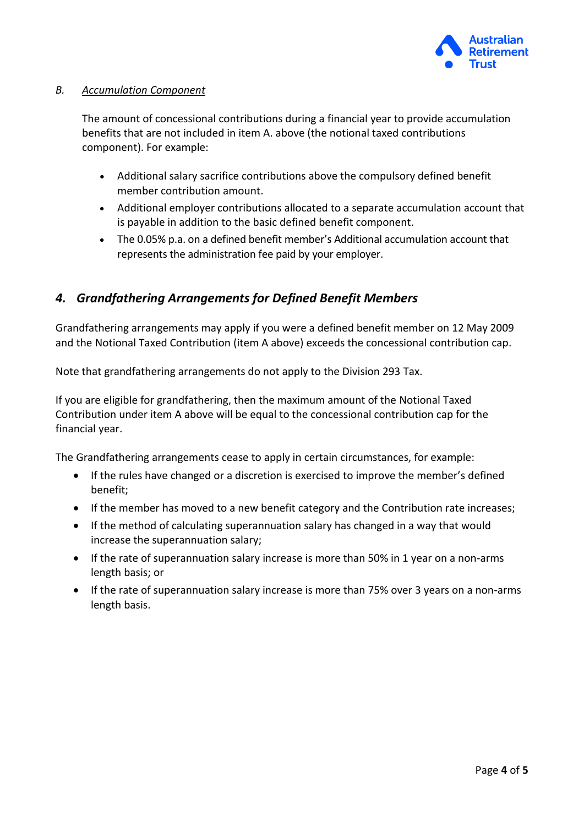

#### *B. Accumulation Component*

The amount of concessional contributions during a financial year to provide accumulation benefits that are not included in item A. above (the notional taxed contributions component). For example:

- Additional salary sacrifice contributions above the compulsory defined benefit member contribution amount.
- Additional employer contributions allocated to a separate accumulation account that is payable in addition to the basic defined benefit component.
- The 0.05% p.a. on a defined benefit member's Additional accumulation account that represents the administration fee paid by your employer.

# *4. Grandfathering Arrangements for Defined Benefit Members*

Grandfathering arrangements may apply if you were a defined benefit member on 12 May 2009 and the Notional Taxed Contribution (item A above) exceeds the concessional contribution cap.

Note that grandfathering arrangements do not apply to the Division 293 Tax.

If you are eligible for grandfathering, then the maximum amount of the Notional Taxed Contribution under item A above will be equal to the concessional contribution cap for the financial year.

The Grandfathering arrangements cease to apply in certain circumstances, for example:

- If the rules have changed or a discretion is exercised to improve the member's defined benefit;
- If the member has moved to a new benefit category and the Contribution rate increases;
- If the method of calculating superannuation salary has changed in a way that would increase the superannuation salary;
- If the rate of superannuation salary increase is more than 50% in 1 year on a non-arms length basis; or
- If the rate of superannuation salary increase is more than 75% over 3 years on a non-arms length basis.